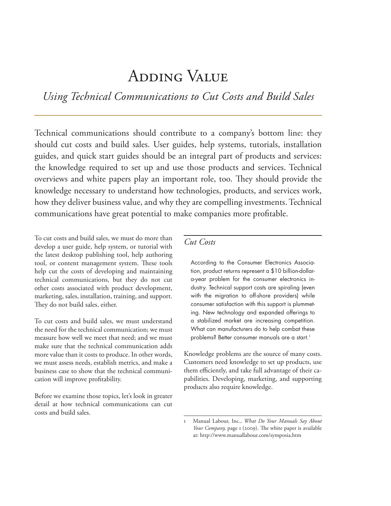# Adding Value

*Using Technical Communications to Cut Costs and Build Sales*

Technical communications should contribute to a company's bottom line: they should cut costs and build sales. User guides, help systems, tutorials, installation guides, and quick start guides should be an integral part of products and services: the knowledge required to set up and use those products and services. Technical overviews and white papers play an important role, too. They should provide the knowledge necessary to understand how technologies, products, and services work, how they deliver business value, and why they are compelling investments. Technical communications have great potential to make companies more profitable.

To cut costs and build sales, we must do more than develop a user guide, help system, or tutorial with the latest desktop publishing tool, help authoring tool, or content management system. These tools help cut the costs of developing and maintaining technical communications, but they do not cut other costs associated with product development, marketing, sales, installation, training, and support. They do not build sales, either.

To cut costs and build sales, we must understand the need for the technical communication; we must measure how well we meet that need; and we must make sure that the technical communication adds more value than it costs to produce. In other words, we must assess needs, establish metrics, and make a business case to show that the technical communication will improve profitability.

Before we examine those topics, let's look in greater detail at how technical communications can cut costs and build sales.

# *Cut Costs*

According to the Consumer Electronics Association, product returns represent a \$10 billion-dollara-year problem for the consumer electronics industry. Technical support costs are spiraling (even with the migration to off-shore providers) while consumer satisfaction with this support is plummeting. New technology and expanded offerings to a stabilized market are increasing competition. What can manufacturers do to help combat these problems? Better consumer manuals are a start.<sup>1</sup>

Knowledge problems are the source of many costs. Customers need knowledge to set up products, use them efficiently, and take full advantage of their capabilities. Developing, marketing, and supporting products also require knowledge.

<sup>1</sup> Manual Labour, Inc., *What Do Your Manuals Say About Your Company,* page 1 (2009). The white paper is available at: http://www.manuallabour.com/symposia.htm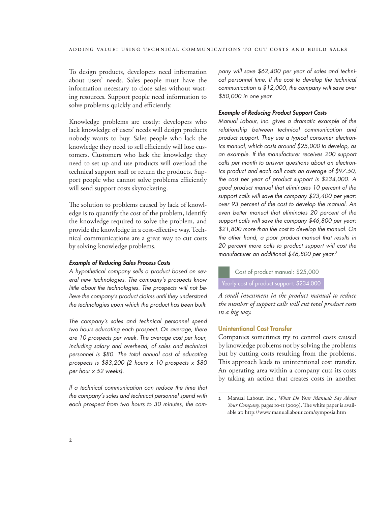To design products, developers need information about users' needs. Sales people must have the information necessary to close sales without wasting resources. Support people need information to solve problems quickly and efficiently.

Knowledge problems are costly: developers who lack knowledge of users' needs will design products nobody wants to buy. Sales people who lack the knowledge they need to sell efficiently will lose customers. Customers who lack the knowledge they need to set up and use products will overload the technical support staff or return the products. Support people who cannot solve problems efficiently will send support costs skyrocketing.

The solution to problems caused by lack of knowledge is to quantify the cost of the problem, identify the knowledge required to solve the problem, and provide the knowledge in a cost-effective way. Technical communications are a great way to cut costs by solving knowledge problems.

#### *Example of Reducing Sales Process Costs*

*A hypothetical company sells a product based on several new technologies. The company's prospects know little about the technologies. The prospects will not believe the company's product claims until they understand the technologies upon which the product has been built.*

*The company's sales and technical personnel spend two hours educating each prospect. On average, there are 10 prospects per week. The average cost per hour, including salary and overhead, of sales and technical personnel is \$80. The total annual cost of educating prospects is \$83,200 (2 hours x 10 prospects x \$80 per hour x 52 weeks).*

*If a technical communication can reduce the time that the company's sales and technical personnel spend with each prospect from two hours to 30 minutes, the com-* *pany will save \$62,400 per year of sales and technical personnel time. If the cost to develop the technical communication is \$12,000, the company will save over \$50,000 in one year.*

#### *Example of Reducing Product Support Costs*

*Manual Labour, Inc. gives a dramatic example of the relationship between technical communication and product support. They use a typical consumer electronics manual, which costs around \$25,000 to develop, as an example. If the manufacturer receives 200 support calls per month to answer questions about an electronics product and each call costs an average of \$97.50, the cost per year of product support is \$234,000. A good product manual that eliminates 10 percent of the support calls will save the company \$23,400 per year: over 93 percent of the cost to develop the manual. An even better manual that eliminates 20 percent of the support calls will save the company \$46,800 per year: \$21,800 more than the cost to develop the manual. On the other hand, a poor product manual that results in 20 percent more calls to product support will cost the manufacturer an additional \$46,800 per year.2*

Cost of product manual: \$25,000

Yearly cost of product support: \$234,000

*A small investment in the product manual to reduce the number of support calls will cut total product costs in a big way.*

## Unintentional Cost Transfer

Companies sometimes try to control costs caused by knowledge problems not by solving the problems but by cutting costs resulting from the problems. This approach leads to unintentional cost transfer. An operating area within a company cuts its costs by taking an action that creates costs in another

<sup>2</sup> Manual Labour, Inc., *What Do Your Manuals Say About Your Company,* pages 10-11 (2009). The white paper is available at: http://www.manuallabour.com/symposia.htm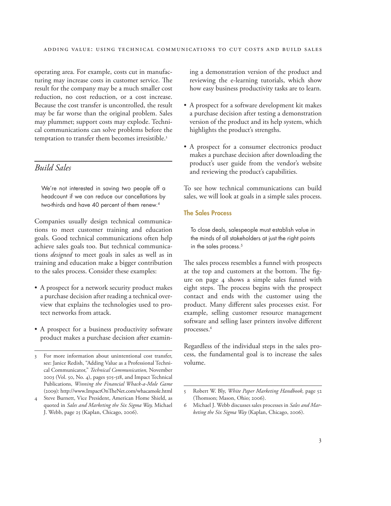operating area. For example, costs cut in manufacturing may increase costs in customer service. The result for the company may be a much smaller cost reduction, no cost reduction, or a cost increase. Because the cost transfer is uncontrolled, the result may be far worse than the original problem. Sales may plummet; support costs may explode. Technical communications can solve problems before the temptation to transfer them becomes irresistible.<sup>3</sup>

# *Build Sales*

We're not interested in saving two people off a headcount if we can reduce our cancellations by two-thirds and have 40 percent of them renew.<sup>4</sup>

Companies usually design technical communications to meet customer training and education goals. Good technical communications often help achieve sales goals too. But technical communications *designed* to meet goals in sales as well as in training and education make a bigger contribution to the sales process. Consider these examples:

- A prospect for a network security product makes a purchase decision after reading a technical overview that explains the technologies used to protect networks from attack.
- A prospect for a business productivity software product makes a purchase decision after examin-

ing a demonstration version of the product and reviewing the e-learning tutorials, which show how easy business productivity tasks are to learn.

- • A prospect for a software development kit makes a purchase decision after testing a demonstration version of the product and its help system, which highlights the product's strengths.
- • A prospect for a consumer electronics product makes a purchase decision after downloading the product's user guide from the vendor's website and reviewing the product's capabilities.

To see how technical communications can build sales, we will look at goals in a simple sales process.

## The Sales Process

To close deals, salespeople must establish value in the minds of all stakeholders at just the right points in the sales process.<sup>5</sup>

The sales process resembles a funnel with prospects at the top and customers at the bottom. The figure on page 4 shows a simple sales funnel with eight steps. The process begins with the prospect contact and ends with the customer using the product. Many different sales processes exist. For example, selling customer resource management software and selling laser printers involve different processes.6

Regardless of the individual steps in the sales process, the fundamental goal is to increase the sales volume.

<sup>3</sup> For more information about unintentional cost transfer, see: Janice Redish, "Adding Value as a Professional Technical Communicator," *Technical Communication,* November 2003 (Vol. 50, No. 4), pages 505-518, and Impact Technical Publications, *Winning the Financial Whack-a-Mole Game*  (2009): http://www.ImpactOnTheNet.com/whacamole.html

<sup>4</sup> Steve Burnett, Vice President, American Home Shield, as quoted in *Sales and Marketing the Six Sigma Way,* Michael J. Webb, page 25 (Kaplan, Chicago, 2006).

<sup>5</sup> Robert W. Bly, *White Paper Marketing Handbook,* page 52 (Thomson; Mason, Ohio; 2006).

<sup>6</sup> Michael J. Webb discusses sales processes in *Sales and Marketing the Six Sigma Way* (Kaplan, Chicago, 2006).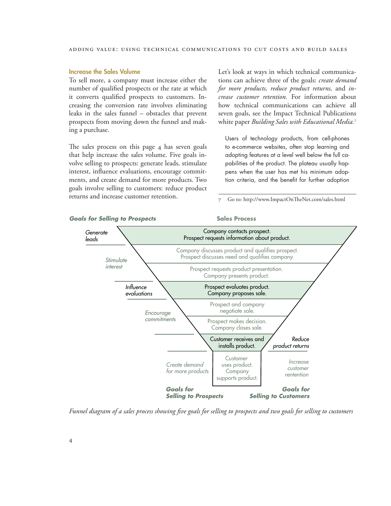## Increase the Sales Volume

To sell more, a company must increase either the number of qualified prospects or the rate at which it converts qualified prospects to customers. Increasing the conversion rate involves eliminating leaks in the sales funnel – obstacles that prevent prospects from moving down the funnel and making a purchase.

The sales process on this page 4 has seven goals that help increase the sales volume. Five goals involve selling to prospects: generate leads, stimulate interest, influence evaluations, encourage commitments, and create demand for more products. Two goals involve selling to customers: reduce product returns and increase customer retention.

Let's look at ways in which technical communications can achieve three of the goals: *create demand for more products, reduce product returns,* and *increase customer retention.* For information about how technical communications can achieve all seven goals, see the Impact Technical Publications white paper *Building Sales with Educational Media.*<sup>7</sup>

Users of technology products, from cell-phones to e-commerce websites, often stop learning and adopting features at a level well below the full capabilities of the product. The plateau usually happens when the user has met his minimum adoption criteria, and the benefit for further adoption

7 Go to: http://www.ImpactOnTheNet.com/sales.html



*Funnel diagram of a sales process showing five goals for selling to prospects and two goals for selling to customers*

## **Goals for Selling to Prospects Sales Process**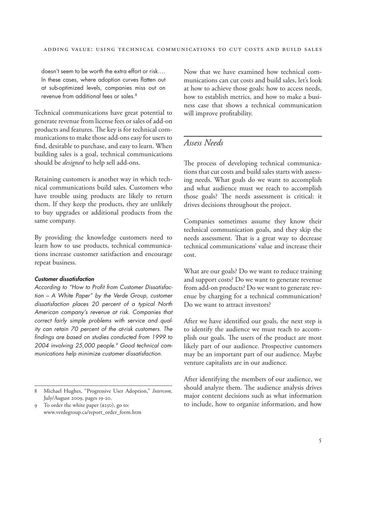doesn't seem to be worth the extra effort or risk.… In these cases, where adoption curves flatten out at sub-optimized levels, companies miss out on revenue from additional fees or sales.<sup>8</sup>

Technical communications have great potential to generate revenue from license fees or sales of add-on products and features. The key is for technical communications to make those add-ons easy for users to find, desirable to purchase, and easy to learn. When building sales is a goal, technical communications should be *designed* to help sell add-ons.

Retaining customers is another way in which technical communications build sales. Customers who have trouble using products are likely to return them. If they keep the products, they are unlikely to buy upgrades or additional products from the same company.

By providing the knowledge customers need to learn how to use products, technical communications increase customer satisfaction and encourage repeat business.

#### *Customer dissatisfaction*

*According to "How to Profit from Customer Dissatisfaction – A White Paper" by the Verde Group, customer dissatisfaction places 20 percent of a typical North American company's revenue at risk. Companies that correct fairly simple problems with service and quality can retain 70 percent of the at-risk customers. The findings are based on studies conducted from 1999 to 2004 involving 25,000 people.9 Good technical communications help minimize customer dissatisfaction.*

Now that we have examined how technical communications can cut costs and build sales, let's look at how to achieve those goals: how to access needs, how to establish metrics, and how to make a business case that shows a technical communication will improve profitability.

# *Assess Needs*

The process of developing technical communications that cut costs and build sales starts with assessing needs. What goals do we want to accomplish and what audience must we reach to accomplish those goals? The needs assessment is critical: it drives decisions throughout the project.

Companies sometimes assume they know their technical communication goals, and they skip the needs assessment. That is a great way to decrease technical communications' value and increase their cost.

What are our goals? Do we want to reduce training and support costs? Do we want to generate revenue from add-on products? Do we want to generate revenue by charging for a technical communication? Do we want to attract investors?

After we have identified our goals, the next step is to identify the audience we must reach to accomplish our goals. The users of the product are most likely part of our audience. Prospective customers may be an important part of our audience. Maybe venture capitalists are in our audience.

After identifying the members of our audience, we should analyze them. The audience analysis drives major content decisions such as what information to include, how to organize information, and how

<sup>8</sup> Michael Hughes, "Progressive User Adoption," *Intercom,*  July/August 2009, pages 19-20.

<sup>9</sup> To order the white paper (\$250), go to: www.verdegroup.ca/report\_order\_form.htm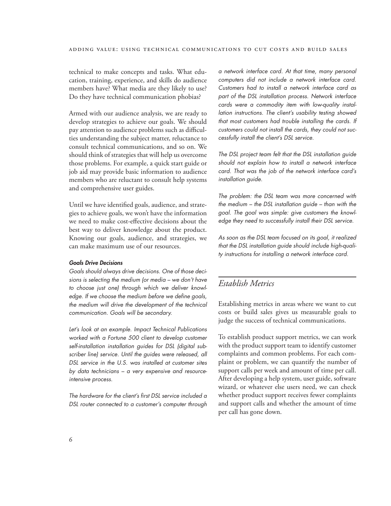technical to make concepts and tasks. What education, training, experience, and skills do audience members have? What media are they likely to use? Do they have technical communication phobias?

Armed with our audience analysis, we are ready to develop strategies to achieve our goals. We should pay attention to audience problems such as difficulties understanding the subject matter, reluctance to consult technical communications, and so on. We should think of strategies that will help us overcome those problems. For example, a quick start guide or job aid may provide basic information to audience members who are reluctant to consult help systems and comprehensive user guides.

Until we have identified goals, audience, and strategies to achieve goals, we won't have the information we need to make cost-effective decisions about the best way to deliver knowledge about the product. Knowing our goals, audience, and strategies, we can make maximum use of our resources.

### *Goals Drive Decisions*

*Goals should always drive decisions. One of those decisions is selecting the medium (or media – we don't have to choose just one) through which we deliver knowledge. If we choose the medium before we define goals, the medium will drive the development of the technical communication. Goals will be secondary.*

*Let's look at an example. Impact Technical Publications worked with a Fortune 500 client to develop customer self-installation installation guides for DSL (digital subscriber line) service. Until the guides were released, all DSL service in the U.S. was installed at customer sites by data technicians – a very expensive and resourceintensive process.*

*The hardware for the client's first DSL service included a DSL router connected to a customer's computer through* 

*a network interface card. At that time, many personal computers did not include a network interface card. Customers had to install a network interface card as part of the DSL installation process. Network interface cards were a commodity item with low-quality installation instructions. The client's usability testing showed that most customers had trouble installing the cards. If customers could not install the cards, they could not successfully install the client's DSL service.*

*The DSL project team felt that the DSL installation guide should not explain how to install a network interface card. That was the job of the network interface card's installation guide.*

*The problem: the DSL team was more concerned with the medium – the DSL installation guide – than with the goal. The goal was simple: give customers the knowledge they need to successfully install their DSL service.*

*As soon as the DSL team focused on its goal, it realized that the DSL installation guide should include high-quality instructions for installing a network interface card.*

# *Establish Metrics*

Establishing metrics in areas where we want to cut costs or build sales gives us measurable goals to judge the success of technical communications.

To establish product support metrics, we can work with the product support team to identify customer complaints and common problems. For each complaint or problem, we can quantify the number of support calls per week and amount of time per call. After developing a help system, user guide, software wizard, or whatever else users need, we can check whether product support receives fewer complaints and support calls and whether the amount of time per call has gone down.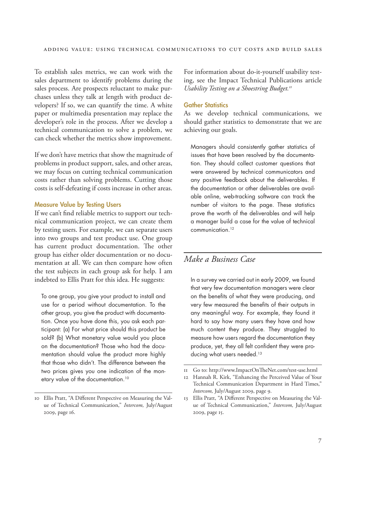To establish sales metrics, we can work with the sales department to identify problems during the sales process. Are prospects reluctant to make purchases unless they talk at length with product developers? If so, we can quantify the time. A white paper or multimedia presentation may replace the developer's role in the process. After we develop a technical communication to solve a problem, we can check whether the metrics show improvement.

If we don't have metrics that show the magnitude of problems in product support, sales, and other areas, we may focus on cutting technical communication costs rather than solving problems. Cutting those costs is self-defeating if costs increase in other areas.

#### Measure Value by Testing Users

If we can't find reliable metrics to support our technical communication project, we can create them by testing users. For example, we can separate users into two groups and test product use. One group has current product documentation. The other group has either older documentation or no documentation at all. We can then compare how often the test subjects in each group ask for help. I am indebted to Ellis Pratt for this idea. He suggests:

To one group, you give your product to install and use for a period without documentation. To the other group, you give the product with documentation. Once you have done this, you ask each participant: (a) For what price should this product be sold? (b) What monetary value would you place on the documentation? Those who had the documentation should value the product more highly that those who didn't. The difference between the two prices gives you one indication of the monetary value of the documentation.<sup>10</sup>

For information about do-it-yourself usability testing, see the Impact Technical Publications article *Usability Testing on a Shoestring Budget.11*

## **Gather Statistics**

As we develop technical communications, we should gather statistics to demonstrate that we are achieving our goals.

Managers should consistently gather statistics of issues that have been resolved by the documentation. They should collect customer questions that were answered by technical communicators and any positive feedback about the deliverables. If the documentation or other deliverables are available online, web-tracking software can track the number of visitors to the page. These statistics prove the worth of the deliverables and will help a manager build a case for the value of technical communication.12

# *Make a Business Case*

In a survey we carried out in early 2009, we found that very few documentation managers were clear on the benefits of what they were producing, and very few measured the benefits of their outputs in any meaningful way. For example, they found it hard to say how many users they have and how much content they produce. They struggled to measure how users regard the documentation they produce, yet, they all felt confident they were producing what users needed.<sup>13</sup>

<sup>10</sup> Ellis Pratt, "A Different Perspective on Measuring the Value of Technical Communication," *Intercom,* July/August 2009, page 16.

<sup>11</sup> Go to: http://www.ImpactOnTheNet.com/test-use.html

Hannah R. Kirk, "Enhancing the Perceived Value of Your Technical Communication Department in Hard Times," *Intercom,* July/August 2009, page 9.

<sup>13</sup> Ellis Pratt, "A Different Perspective on Measuring the Value of Technical Communication," *Intercom,* July/August 2009, page 15.